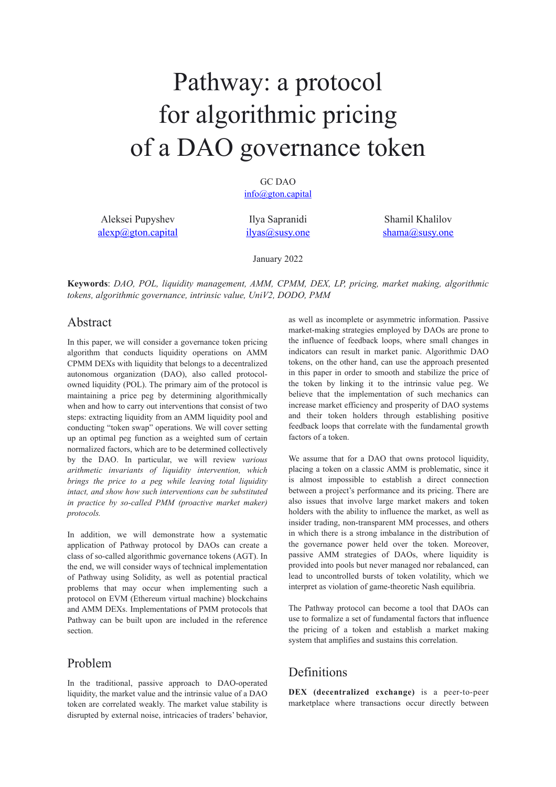# Pathway: a protocol for algorithmic pricing of a DAO governance token

GC DAO [info@gton.capital](mailto:info@gton.capital)

Aleksei Pupyshev [alexp@gton.capital](mailto:alexp@gton.capital)

Ilya Sapranidi [ilyas@susy.one](mailto:ilyas@susy.one)

Shamil Khalilov [shama@susy.one](mailto:shama@susy.one)

January 2022

**Keywords**: *DAO, POL, liquidity management, AMM, CPMM, DEX, LP, pricing, market making, algorithmic tokens, algorithmic governance, intrinsic value, UniV2, DODO, PMM*

## Abstract

In this paper, we will consider a governance token pricing algorithm that conducts liquidity operations on AMM CPMM DEXs with liquidity that belongs to a decentralized autonomous organization (DAO), also called protocolowned liquidity (POL). The primary aim of the protocol is maintaining a price peg by determining algorithmically when and how to carry out interventions that consist of two steps: extracting liquidity from an AMM liquidity pool and conducting "token swap" operations. We will cover setting up an optimal peg function as a weighted sum of certain normalized factors, which are to be determined collectively by the DAO. In particular, we will review *various arithmetic invariants of liquidity intervention, which brings the price to a peg while leaving total liquidity intact, and show how such interventions can be substituted in practice by so-called PMM (proactive market maker) protocols.*

In addition, we will demonstrate how a systematic application of Pathway protocol by DAOs can create a class of so-called algorithmic governance tokens (AGT). In the end, we will consider ways of technical implementation of Pathway using Solidity, as well as potential practical problems that may occur when implementing such a protocol on EVM (Ethereum virtual machine) blockchains and AMM DEXs. Implementations of PMM protocols that Pathway can be built upon are included in the reference section.

## Problem

In the traditional, passive approach to DAO-operated liquidity, the market value and the intrinsic value of a DAO token are correlated weakly. The market value stability is disrupted by external noise, intricacies of traders' behavior, as well as incomplete or asymmetric information. Passive market-making strategies employed by DAOs are prone to the influence of feedback loops, where small changes in indicators can result in market panic. Algorithmic DAO tokens, on the other hand, can use the approach presented in this paper in order to smooth and stabilize the price of the token by linking it to the intrinsic value peg. We believe that the implementation of such mechanics can increase market efficiency and prosperity of DAO systems and their token holders through establishing positive feedback loops that correlate with the fundamental growth factors of a token.

We assume that for a DAO that owns protocol liquidity, placing a token on a classic AMM is problematic, since it is almost impossible to establish a direct connection between a project's performance and its pricing. There are also issues that involve large market makers and token holders with the ability to influence the market, as well as insider trading, non-transparent MM processes, and others in which there is a strong imbalance in the distribution of the governance power held over the token. Moreover, passive AMM strategies of DAOs, where liquidity is provided into pools but never managed nor rebalanced, can lead to uncontrolled bursts of token volatility, which we interpret as violation of game-theoretic Nash equilibria.

The Pathway protocol can become a tool that DAOs can use to formalize a set of fundamental factors that influence the pricing of a token and establish a market making system that amplifies and sustains this correlation.

## Definitions

**DEX (decentralized exchange)** is a peer-to-peer marketplace where transactions occur directly between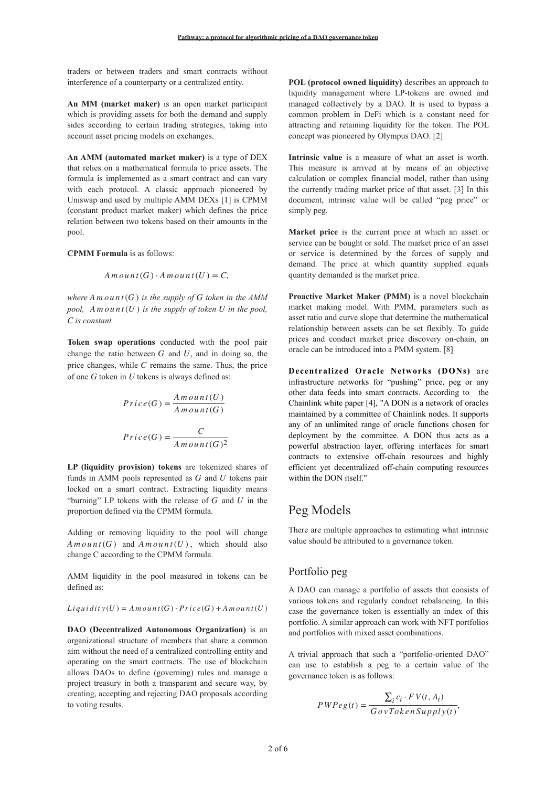traders or between traders and smart contracts without interference of a counterparty or a centralized entity.

**An MM (market maker)** is an open market participant which is providing assets for both the demand and supply sides according to certain trading strategies, taking into account asset pricing models on exchanges.

**An AMM (automated market maker)** is a type of DEX that relies on a mathematical formula to price assets. The formula is implemented as a smart contract and can vary with each protocol. A classic approach pioneered by Uniswap and used by multiple AMM DEXs [1] is CPMM (constant product market maker) which defines the price relation between two tokens based on their amounts in the pool.

#### **CPMM Formula** is as follows:

$$
A \, m \, o \, un \, t \, (G) \cdot A \, m \, o \, un \, t \, (U) = C,
$$

where  $A \text{ } m \text{ } o \text{ } u \text{ } n \text{ } t \text{ } (G)$  *is the supply of G token in the AMM pool,*  $A \cdot m \cdot out(t)$  *is the supply of token U in the pool, is constant. C*

**Token swap operations** conducted with the pool pair change the ratio between  $G$  and  $U$ , and in doing so, the price changes, while  $C$  remains the same. Thus, the price of one G token in U tokens is always defined as:

$$
Price(G) = \frac{Amount(U)}{Amount(G)}
$$

$$
Price(G) = \frac{C}{Amount(G)^{2}}
$$

**LP (liquidity provision) tokens** are tokenized shares of funds in AMM pools represented as  $G$  and  $U$  tokens pair locked on a smart contract. Extracting liquidity means "burning" LP tokens with the release of  $G$  and  $U$  in the proportion defined via the CPMM formula.

Adding or removing liquidity to the pool will change  $A \text{ } m \text{ } o \text{ } u \text{ } n \text{ } t \text{ } (G) \text{ and } A \text{ } m \text{ } o \text{ } u \text{ } n \text{ } t \text{ } (U)$ , which should also change C according to the CPMM formula.

AMM liquidity in the pool measured in tokens can be defined as:

$$
Liquidity(U) = A \, m \, o \, un \, t(G) \cdot Price(G) + A \, m \, o \, un \, t(U)
$$

**DAO (Decentralized Autonomous Organization)** is an organizational structure of members that share a common aim without the need of a centralized controlling entity and operating on the smart contracts. The use of blockchain allows DAOs to define (governing) rules and manage a project treasury in both a transparent and secure way, by creating, accepting and rejecting DAO proposals according to voting results.

**POL (protocol owned liquidity)** describes an approach to liquidity management where LP-tokens are owned and managed collectively by a DAO. It is used to bypass a common problem in DeFi which is a constant need for attracting and retaining liquidity for the token. The POL concept was pioneered by Olympus DAO. [2]

**Intrinsic value** is a measure of what an asset is worth. This measure is arrived at by means of an objective calculation or complex financial model, rather than using the currently trading market price of that asset. [3] In this document, intrinsic value will be called "peg price" or simply peg.

**Market price** is the current price at which an asset or service can be bought or sold. The market price of an asset or service is determined by the forces of supply and demand. The price at which quantity supplied equals quantity demanded is the market price.

**Proactive Market Maker (PMM)** is a novel blockchain market making model. With PMM, parameters such as asset ratio and curve slope that determine the mathematical relationship between assets can be set flexibly. To guide prices and conduct market price discovery on-chain, an oracle can be introduced into a PMM system. [8]

**Decentralized Oracle Networks (DONs)** are infrastructure networks for "pushing" price, peg or any other data feeds into smart contracts. According to the Chainlink white paper [4], "A DON is a network of oracles maintained by a committee of Chainlink nodes. It supports any of an unlimited range of oracle functions chosen for deployment by the committee. A DON thus acts as a powerful abstraction layer, offering interfaces for smart contracts to extensive off-chain resources and highly efficient yet decentralized off-chain computing resources within the DON itself."

## Peg Models

There are multiple approaches to estimating what intrinsic value should be attributed to a governance token.

#### Portfolio peg

A DAO can manage a portfolio of assets that consists of various tokens and regularly conduct rebalancing. In this case the governance token is essentially an index of this portfolio. A similar approach can work with NFT portfolios and portfolios with mixed asset combinations.

A trivial approach that such a "portfolio-oriented DAO" can use to establish a peg to a certain value of the governance token is as follows:

$$
PWPeg(t) = \frac{\sum_{i} c_i \cdot FV(t, A_i)}{GovTokenSupply(t)},
$$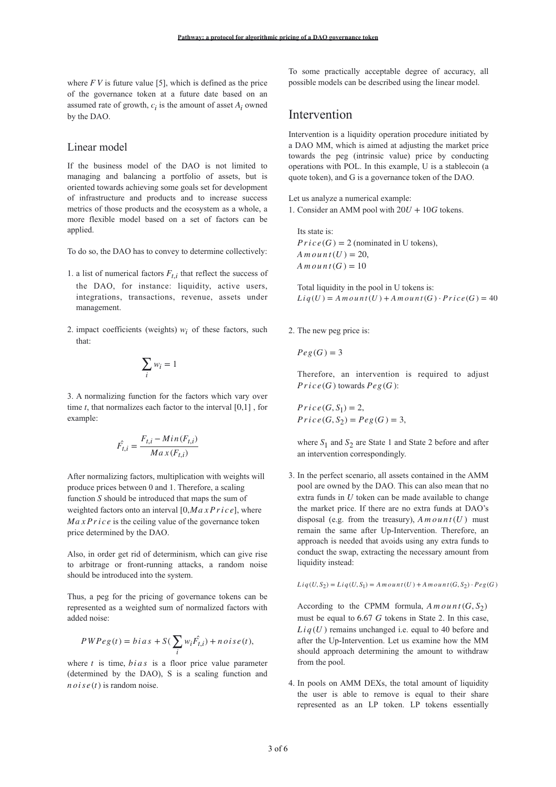where  $F V$  is future value [5], which is defined as the price of the governance token at a future date based on an assumed rate of growth,  $c_i$  is the amount of asset  $A_i$  owned by the DAO.

#### Linear model

If the business model of the DAO is not limited to managing and balancing a portfolio of assets, but is oriented towards achieving some goals set for development of infrastructure and products and to increase success metrics of those products and the ecosystem as a whole, a more flexible model based on a set of factors can be applied.

To do so, the DAO has to convey to determine collectively:

- 1. a list of numerical factors  $F_{t,i}$  that reflect the success of the DAO, for instance: liquidity, active users, integrations, transactions, revenue, assets under management.
- 2. impact coefficients (weights)  $w_i$  of these factors, such that:

$$
\sum_i w_i = 1
$$

3. A normalizing function for the factors which vary over time  $t$ , that normalizes each factor to the interval  $[0,1]$ , for example:

$$
\hat{F_{t,i}} = \frac{F_{t,i} - Min(F_{t,i})}{Max(F_{t,i})}
$$

After normalizing factors, multiplication with weights will produce prices between 0 and 1. Therefore, a scaling function S should be introduced that maps the sum of weighted factors onto an interval  $[0, Ma \times P \, r \, i \, c \, e]$ , where  $MaxPrice$  is the ceiling value of the governance token price determined by the DAO.

Also, in order get rid of determinism, which can give rise to arbitrage or front-running attacks, a random noise should be introduced into the system.

Thus, a peg for the pricing of governance tokens can be represented as a weighted sum of normalized factors with added noise:

$$
PWPeg(t) = bias + S(\sum_{i} w_i \hat{F}_{t,i}) + noise(t),
$$

where  $t$  is time,  $bias$  is a floor price value parameter (determined by the DAO), S is a scaling function and  $n \, o \, i \, s \, e \, (t)$  is random noise.

To some practically acceptable degree of accuracy, all possible models can be described using the linear model.

## Intervention

Intervention is a liquidity operation procedure initiated by a DAO MM, which is aimed at adjusting the market price towards the peg (intrinsic value) price by conducting operations with POL. In this example, U is a stablecoin (a quote token), and G is a governance token of the DAO.

Let us analyze a numerical example: 1. Consider an AMM pool with  $20U + 10G$  tokens.

Its state is:  $Price(G) = 2$  (nominated in U tokens),  $A$  *m*  $o$  *u*  $n$   $t$   $(U) = 20$ ,  $A$  *m*  $o$  *u*  $nt(G) = 10$ 

Total liquidity in the pool in U tokens is:  $Liq(U) = A m oun(t(U) + A m oun(t(G) \cdot Price(G)) = 40$ 

2. The new peg price is:

$$
Peg(G)=3
$$

Therefore, an intervention is required to adjust  $Price(G)$  towards  $Peg(G)$ :

 $Price(G, S_2) = Peg(G) = 3,$  $P$ *r*  $i$ *c*  $e$  (*G*,  $S$ <sub>1</sub>) = 2,

where  $S_1$  and  $S_2$  are State 1 and State 2 before and after an intervention correspondingly.

3. In the perfect scenario, all assets contained in the AMM pool are owned by the DAO. This can also mean that no extra funds in  $U$  token can be made available to change the market price. If there are no extra funds at DAO's disposal (e.g. from the treasury),  $A \cdot m \cdot o \cdot u \cdot t(U)$  must remain the same after Up-Intervention. Therefore, an approach is needed that avoids using any extra funds to conduct the swap, extracting the necessary amount from liquidity instead:

$$
Liq(U,S_2)=Liq(U,S_1)=A\,m\,o\,un\,t(U)+A\,m\,o\,un\,t(G,S_2)\cdot Pe g(G)
$$

According to the CPMM formula,  $A \cdot m \cdot o \cdot u \cdot t$  ( $G, S_2$ ) must be equal to 6.67 *G* tokens in State 2. In this case,  $Liq(U)$  remains unchanged i.e. equal to 40 before and after the Up-Intervention. Let us examine how the MM should approach determining the amount to withdraw from the pool.

4. In pools on AMM DEXs, the total amount of liquidity the user is able to remove is equal to their share represented as an LP token. LP tokens essentially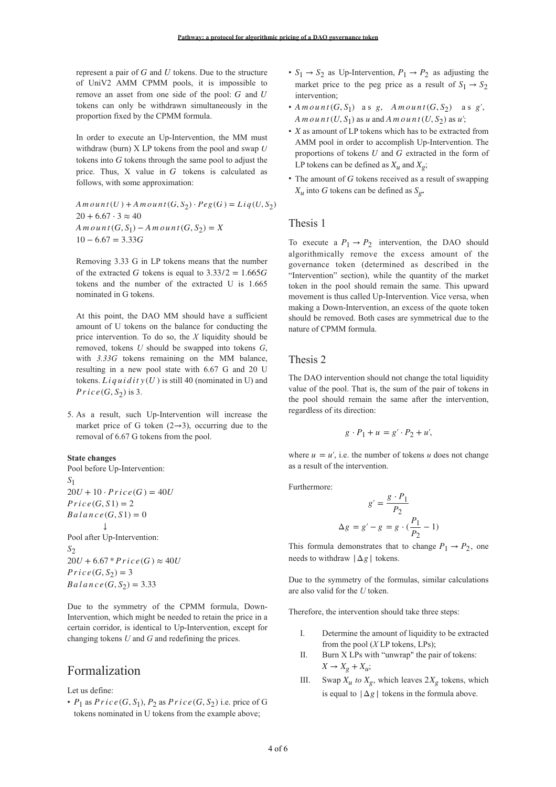represent a pair of  $G$  and  $U$  tokens. Due to the structure of UniV2 AMM CPMM pools, it is impossible to remove an asset from one side of the pool:  $G$  and  $U$ tokens can only be withdrawn simultaneously in the proportion fixed by the CPMM formula.

In order to execute an Up-Intervention, the MM must withdraw (burn) X LP tokens from the pool and swap *U* tokens into  $G$  tokens through the same pool to adjust the price. Thus,  $X$  value in  $G$  tokens is calculated as follows, with some approximation:

 $A \text{ } m \text{ } o \text{ } u \text{ } n \text{ } t \text{ } (U) + A \text{ } m \text{ } o \text{ } u \text{ } n \text{ } t \text{ } (G, S_2) \cdot Pe \text{ } g(G) = Liq(U, S_2)$  $20 + 6.67 \cdot 3 \approx 40$  $A \text{ } m \text{ } o \text{ } u \text{ } n \text{ } t \text{ } (G, S_1) - A \text{ } m \text{ } o \text{ } u \text{ } n \text{ } t \text{ } (G, S_2) = X$ 10 − 6.67 = 3.33*G*

Removing 3.33 G in LP tokens means that the number of the extracted G tokens is equal to  $3.33/2 = 1.665G$ tokens and the number of the extracted U is 1.665 nominated in G tokens.

At this point, the DAO MM should have a sufficient amount of U tokens on the balance for conducting the price intervention. To do so, the *X* liquidity should be removed, tokens *U* should be swapped into tokens *G*, with *3.33G* tokens remaining on the MM balance, resulting in a new pool state with 6.67 G and 20 U tokens.  $L$ *i*  $q$  *u i*  $d$  *i*  $t$   $y$  (*U*) is still 40 (nominated in U) and  $Price(G, S_2)$  is 3.

5. As a result, such Up-Intervention will increase the market price of G token  $(2\rightarrow 3)$ , occurring due to the removal of 6.67 G tokens from the pool.

#### **State changes**

Pool before Up-Intervention: Pool after Up-Intervention: *S*1  $20U + 10 \cdot Price(G) = 40U$  $Price(G, S1) = 2$  $B$ *a*  $l$  *a*  $n$  *c*  $e$   $(G, S1) = 0$ ↓ *S*2  $20U + 6.67 * Price(G) \approx 40U$  $Price(G, S<sub>2</sub>) = 3$ *Ba*  $l$  *a*  $n$  *c*  $e$   $(G, S_2) = 3.33$ 

Due to the symmetry of the CPMM formula, Down-Intervention, which might be needed to retain the price in a certain corridor, is identical to Up-Intervention, except for changing tokens *U* and *G* and redefining the prices.

## Formalization

Let us define:

•  $P_1$  as  $Price(G, S_1), P_2$  as  $Price(G, S_2)$  i.e. price of G tokens nominated in U tokens from the example above;

- $S_1 \rightarrow S_2$  as Up-Intervention,  $P_1 \rightarrow P_2$  as adjusting the market price to the peg price as a result of  $S_1 \rightarrow S_2$ intervention;
- a s a s *A m ou n t* (*G*, *S*1) *g*, *A m ou n t* (*G*, *S*2) *g*′,  $A \text{ } m \text{ } o \text{ } u \text{ } n \text{ } t \text{ } (U, S_1) \text{ as } u \text{ and } A \text{ } m \text{ } o \text{ } u \text{ } n \text{ } t \text{ } (U, S_2) \text{ as } u';$
- *X* as amount of LP tokens which has to be extracted from AMM pool in order to accomplish Up-Intervention. The proportions of tokens  $U$  and  $G$  extracted in the form of LP tokens can be defined as  $X_u$  and  $X_g$ ;
- The amount of  $G$  tokens received as a result of swapping  $X_u$  into G tokens can be defined as  $S_g$ .

#### Thesis 1

To execute a  $P_1 \rightarrow P_2$  intervention, the DAO should algorithmically remove the excess amount of the governance token (determined as described in the "Intervention" section), while the quantity of the market token in the pool should remain the same. This upward movement is thus called Up-Intervention. Vice versa, when making a Down-Intervention, an excess of the quote token should be removed. Both cases are symmetrical due to the nature of CPMM formula.

#### Thesis 2

The DAO intervention should not change the total liquidity value of the pool. That is, the sum of the pair of tokens in the pool should remain the same after the intervention, regardless of its direction:

$$
g \cdot P_1 + u = g' \cdot P_2 + u',
$$

where  $u = u'$ , i.e. the number of tokens *u* does not change as a result of the intervention.

Furthermore:

$$
g' = \frac{g \cdot P_1}{P_2}
$$

$$
\Delta g = g' - g = g \cdot (\frac{P_1}{P_2} - 1)
$$

This formula demonstrates that to change  $P_1 \rightarrow P_2$ , one needs to withdraw  $|\Delta g|$  tokens.

Due to the symmetry of the formulas, similar calculations are also valid for the *U* token.

Therefore, the intervention should take three steps:

- I. Determine the amount of liquidity to be extracted from the pool (*X* LP tokens, LPs);
- II. Burn X LPs with "unwrap" the pair of tokens:  $X \to X_g + X_u;$
- III. Swap  $X_u$  to  $X_g$ , which leaves  $2X_g$  tokens, which is equal to  $|\Delta g|$  tokens in the formula above.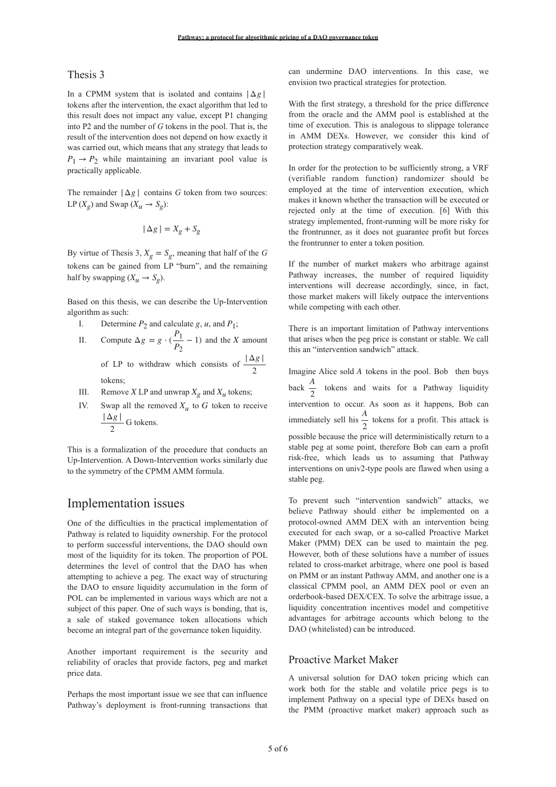#### Thesis 3

In a CPMM system that is isolated and contains  $|\Delta g|$ tokens after the intervention, the exact algorithm that led to this result does not impact any value, except P1 changing into P2 and the number of *G* tokens in the pool. That is, the result of the intervention does not depend on how exactly it was carried out, which means that any strategy that leads to  $P_1 \rightarrow P_2$  while maintaining an invariant pool value is practically applicable.

The remainder  $|\Delta g|$  contains *G* token from two sources: LP  $(X_g)$  and Swap  $(X_u \rightarrow S_g)$ :

$$
|\Delta g| = X_g + S_g
$$

By virtue of Thesis 3,  $X_g = S_g$ , meaning that half of the *G* tokens can be gained from LP "burn", and the remaining half by swapping  $(X_u \rightarrow S_g)$ .

Based on this thesis, we can describe the Up-Intervention algorithm as such:

- I. Determine  $P_2$  and calculate g, u, and  $P_1$ ;
- II. Compute  $\Delta g = g \cdot (\frac{P_1}{P_2} 1)$  and the X amount of LP to withdraw which consists of  $\frac{|\Delta g|}{g}$ tokens;  $\frac{1}{P_2}$  − 1) and the *X* 2
- III. Remove *X* LP and unwrap  $X_g$  and  $X_u$  tokens;
- IV. Swap all the removed  $X_u$  to G token to receive  $\frac{|\Delta g|}{g}$  G tokens. 2

This is a formalization of the procedure that conducts an Up-Intervention. A Down-Intervention works similarly due to the symmetry of the CPMM AMM formula.

### Implementation issues

One of the difficulties in the practical implementation of Pathway is related to liquidity ownership. For the protocol to perform successful interventions, the DAO should own most of the liquidity for its token. The proportion of POL determines the level of control that the DAO has when attempting to achieve a peg. The exact way of structuring the DAO to ensure liquidity accumulation in the form of POL can be implemented in various ways which are not a subject of this paper. One of such ways is bonding, that is, a sale of staked governance token allocations which become an integral part of the governance token liquidity.

Another important requirement is the security and reliability of oracles that provide factors, peg and market price data.

Perhaps the most important issue we see that can influence Pathway's deployment is front-running transactions that

can undermine DAO interventions. In this case, we envision two practical strategies for protection.

With the first strategy, a threshold for the price difference from the oracle and the AMM pool is established at the time of execution. This is analogous to slippage tolerance in AMM DEXs. However, we consider this kind of protection strategy comparatively weak.

In order for the protection to be sufficiently strong, a VRF (verifiable random function) randomizer should be employed at the time of intervention execution, which makes it known whether the transaction will be executed or rejected only at the time of execution. [6] With this strategy implemented, front-running will be more risky for the frontrunner, as it does not guarantee profit but forces the frontrunner to enter a token position.

If the number of market makers who arbitrage against Pathway increases, the number of required liquidity interventions will decrease accordingly, since, in fact, those market makers will likely outpace the interventions while competing with each other.

There is an important limitation of Pathway interventions that arises when the peg price is constant or stable. We call this an "intervention sandwich" attack.

Imagine Alice sold A tokens in the pool. Bob then buys back  $\frac{A}{a}$  tokens and waits for a Pathway liquidity intervention to occur. As soon as it happens, Bob can immediately sell his  $\frac{1}{2}$  tokens for a profit. This attack is possible because the price will deterministically return to a stable peg at some point, therefore Bob can earn a profit risk-free, which leads us to assuming that Pathway interventions on univ2-type pools are flawed when using a stable peg. 2 *A* 2

To prevent such "intervention sandwich" attacks, we believe Pathway should either be implemented on a protocol-owned AMM DEX with an intervention being executed for each swap, or a so-called Proactive Market Maker (PMM) DEX can be used to maintain the peg. However, both of these solutions have a number of issues related to cross-market arbitrage, where one pool is based on PMM or an instant Pathway AMM, and another one is a classical CPMM pool, an AMM DEX pool or even an orderbook-based DEX/CEX. To solve the arbitrage issue, a liquidity concentration incentives model and competitive advantages for arbitrage accounts which belong to the DAO (whitelisted) can be introduced.

## Proactive Market Maker

A universal solution for DAO token pricing which can work both for the stable and volatile price pegs is to implement Pathway on a special type of DEXs based on the PMM (proactive market maker) approach such as